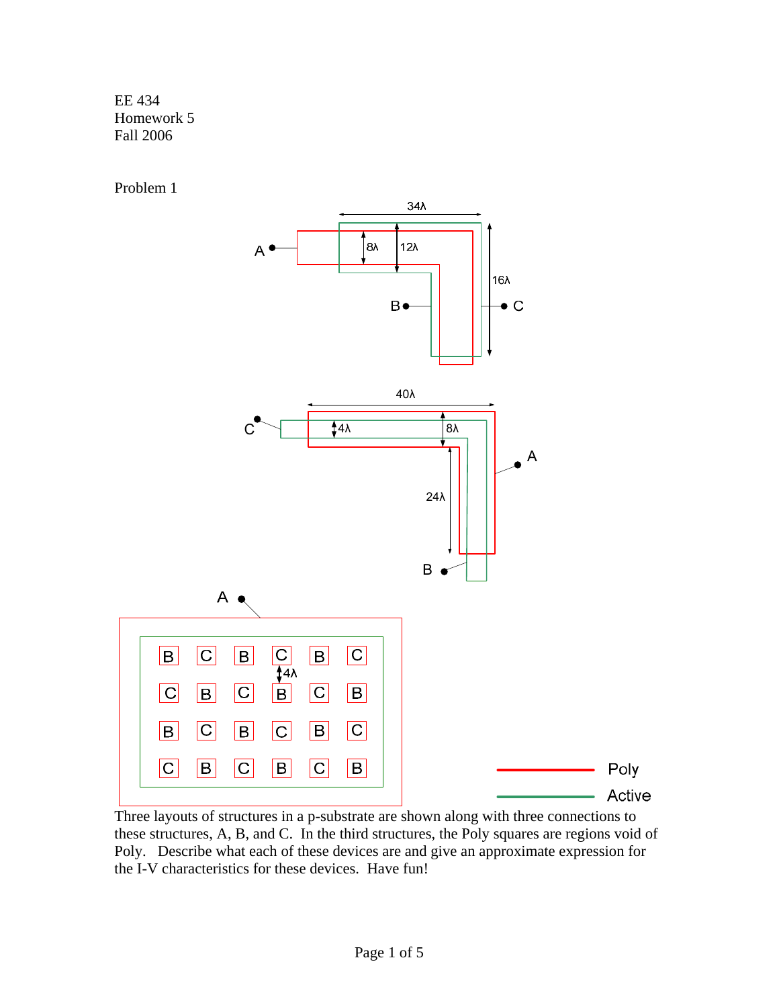EE 434 Homework 5 Fall 2006

Problem 1



these structures, A, B, and C. In the third structures, the Poly squares are regions void of Poly. Describe what each of these devices are and give an approximate expression for the I-V characteristics for these devices. Have fun!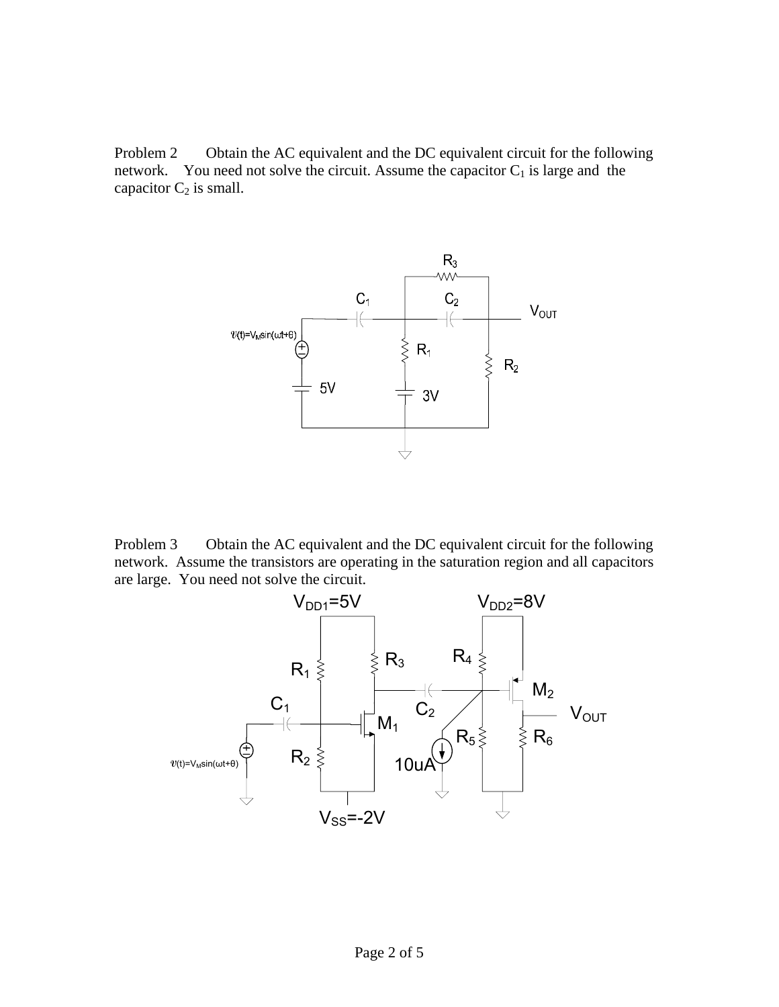Problem 2 Obtain the AC equivalent and the DC equivalent circuit for the following network. You need not solve the circuit. Assume the capacitor  $C_1$  is large and the capacitor  $C_2$  is small.



Problem 3 Obtain the AC equivalent and the DC equivalent circuit for the following network. Assume the transistors are operating in the saturation region and all capacitors are large. You need not solve the circuit.

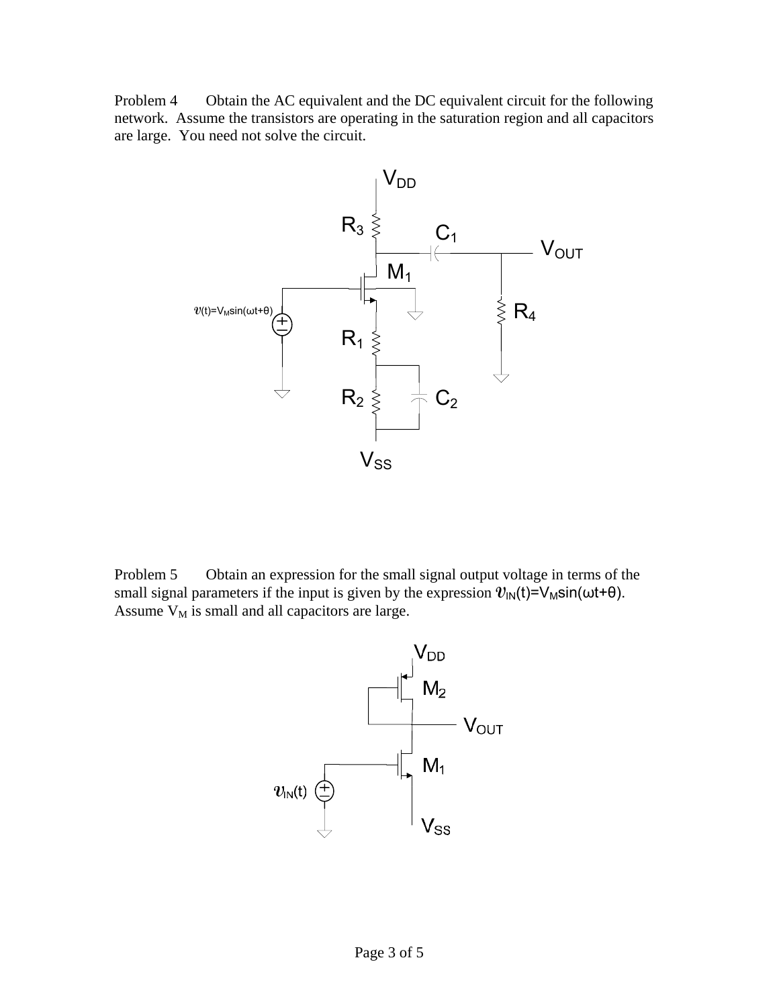Problem 4 Obtain the AC equivalent and the DC equivalent circuit for the following network. Assume the transistors are operating in the saturation region and all capacitors are large. You need not solve the circuit.



Problem 5 Obtain an expression for the small signal output voltage in terms of the small signal parameters if the input is given by the expression  $v_{\text{IN}}(t) = V_{\text{M}} \sin(\omega t + \theta)$ . Assume  $V_M$  is small and all capacitors are large.

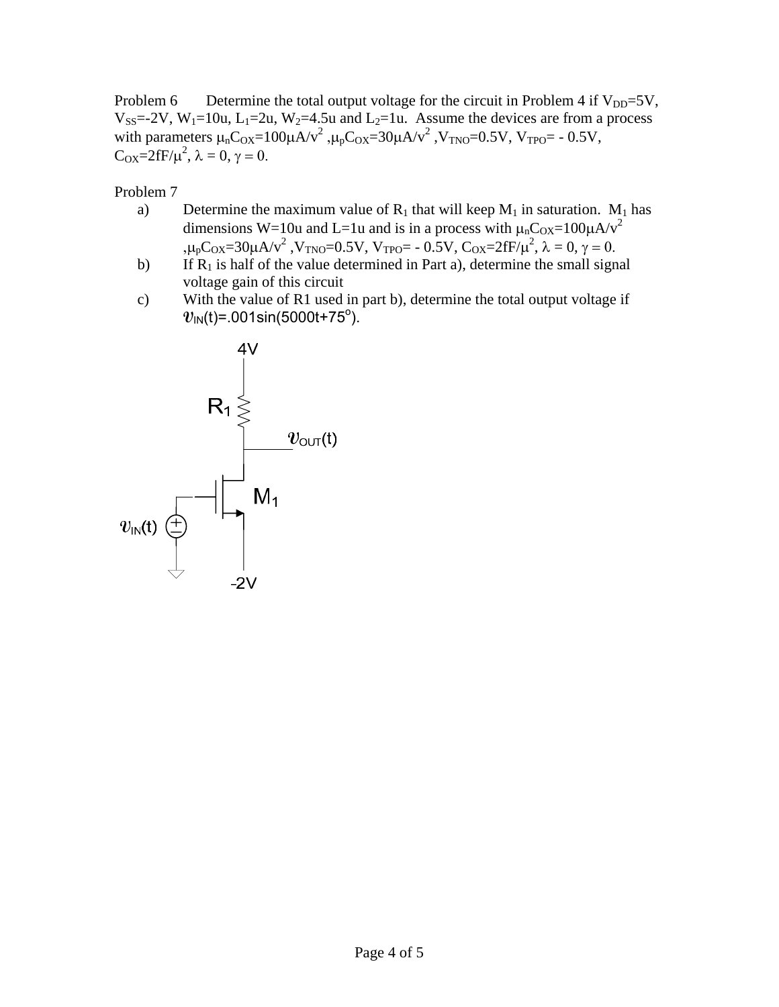Problem 6 Determine the total output voltage for the circuit in Problem 4 if  $V_{DD} = 5V$ ,  $V_{SS}$ =-2V, W<sub>1</sub>=10u, L<sub>1</sub>=2u, W<sub>2</sub>=4.5u and L<sub>2</sub>=1u. Assume the devices are from a process with parameters  $\mu_n C_{OX} = 100\mu A/v^2$ ,  $\mu_p C_{OX} = 30\mu A/v^2$ ,  $V_{TNO} = 0.5V$ ,  $V_{TPO} = -0.5V$ ,  $C_{OX} = 2fF/\mu^2$ ,  $\lambda = 0$ ,  $\gamma = 0$ .

Problem 7

- a) Determine the maximum value of  $R_1$  that will keep  $M_1$  in saturation.  $M_1$  has dimensions W=10u and L=1u and is in a process with  $\mu_nC_{OX}=100\mu A/v^2$ ,μ<sub>p</sub>C<sub>OX</sub>=30μA/v<sup>2</sup>, V<sub>TNO</sub>=0.5V, V<sub>TPO</sub>= - 0.5V, C<sub>OX</sub>=2fF/μ<sup>2</sup>, λ = 0, γ = 0.
- b) If  $R_1$  is half of the value determined in Part a), determine the small signal voltage gain of this circuit
- c) With the value of R1 used in part b), determine the total output voltage if  $v_\text{\tiny IN}$ (t)=.001sin(5000t+75 $^\text{o}$ ).  $^\text{p}$